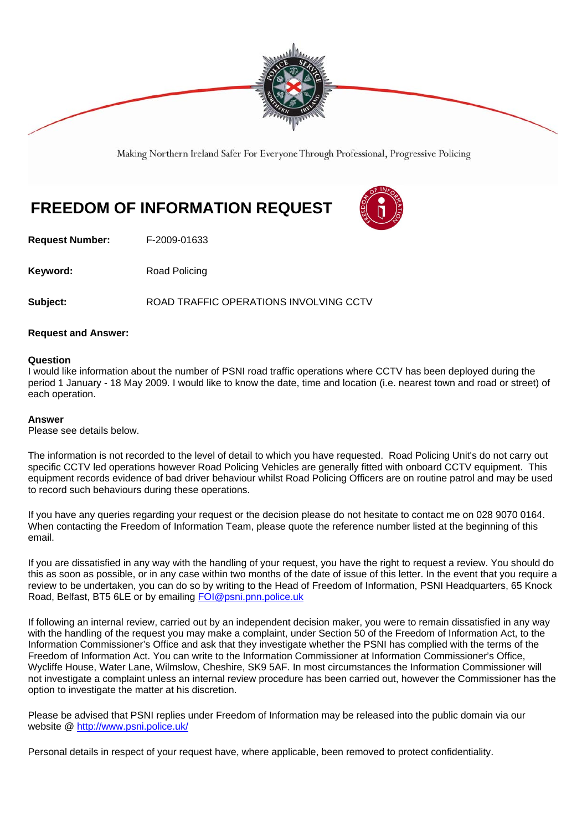

Making Northern Ireland Safer For Everyone Through Professional, Progressive Policing

## **FREEDOM OF INFORMATION REQUEST**

**Request Number:** F-2009-01633

**Keyword:** Road Policing

**Subject:** ROAD TRAFFIC OPERATIONS INVOLVING CCTV

## **Request and Answer:**

## **Question**

I would like information about the number of PSNI road traffic operations where CCTV has been deployed during the period 1 January - 18 May 2009. I would like to know the date, time and location (i.e. nearest town and road or street) of each operation.

## **Answer**

Please see details below.

The information is not recorded to the level of detail to which you have requested. Road Policing Unit's do not carry out specific CCTV led operations however Road Policing Vehicles are generally fitted with onboard CCTV equipment. This equipment records evidence of bad driver behaviour whilst Road Policing Officers are on routine patrol and may be used to record such behaviours during these operations.

If you have any queries regarding your request or the decision please do not hesitate to contact me on 028 9070 0164. When contacting the Freedom of Information Team, please quote the reference number listed at the beginning of this email.

If you are dissatisfied in any way with the handling of your request, you have the right to request a review. You should do this as soon as possible, or in any case within two months of the date of issue of this letter. In the event that you require a review to be undertaken, you can do so by writing to the Head of Freedom of Information, PSNI Headquarters, 65 Knock Road, Belfast, BT5 6LE or by emailing FOI@psni.pnn.police.uk

If following an internal review, carried out by an independent decision maker, you were to remain dissatisfied in any way with the handling of the request you may make a complaint, under Section 50 of the Freedom of Information Act, to the Information Commissioner's Office and ask that they investigate whether the PSNI has complied with the terms of the Freedom of Information Act. You can write to the Information Commissioner at Information Commissioner's Office, Wycliffe House, Water Lane, Wilmslow, Cheshire, SK9 5AF. In most circumstances the Information Commissioner will not investigate a complaint unless an internal review procedure has been carried out, however the Commissioner has the option to investigate the matter at his discretion.

Please be advised that PSNI replies under Freedom of Information may be released into the public domain via our website @ http://www.psni.police.uk/

Personal details in respect of your request have, where applicable, been removed to protect confidentiality.